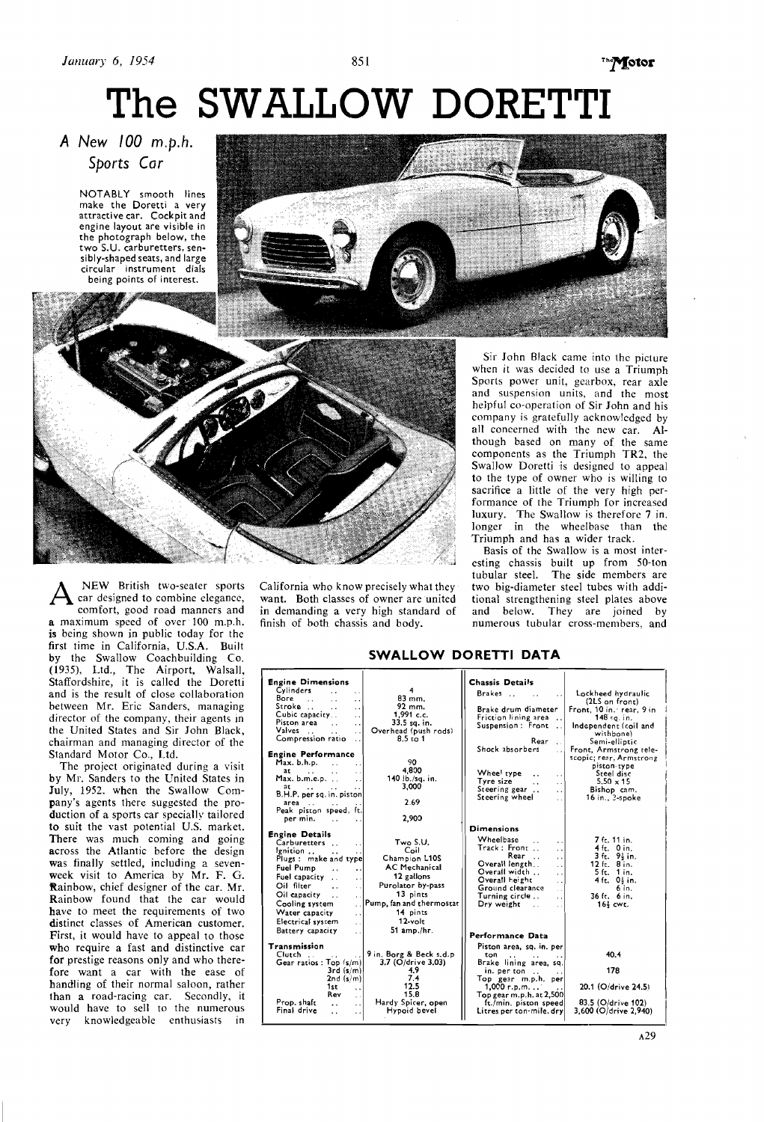851

# The SWALLOW DORETTI

## A New 100 m.p.h. Sports Car

NOTABLY smooth lines<br>make the Doretti a very attractive car. Cockpit and engine layout are visible in<br>the photograph below, the two S.U. carburetters, sensibly-shaped seats, and large<br>circular instrument dials being points of interest.



 $A$ <sup>NEW</sup> British two-seater sports car designed to combine elegance, comfort, eood road manners and comfort, good road manners and a maximum speed of over 100 m.p.h. is being shown in public today for the first time in California, U.S.A. Built by the Swallow Coachbuilding Co. (1935), Ltd., The Airport, Walsall, Staffordshire, it is called the Doretti and is the result of close collaboration hetween Mr. Eric Sanders, managing director of the company, their agents in the United States and Sir John Black, chairman and managing director of the Standard Motor Co., Ltd.

The project originated during a visit by Mr. Sanders to the United States in July, 1952. when the Swallow Company's agents there suggested the production of a sports car specially tailored to suit the vast potential U.S. market. There was much coming and going across the Atlantic before the design was finally settled, including a sevenweek visit to America by Mr. F. G. Rainbow, chief designer of the car. Mr. Rainbow found that the car would have to meet the requirements of two distinct classes of American customer. First, it would have to appeal to those who require a fast and distinctive car for prestige reasons only and who therefore want a car with the ease of handling of their normal saloon, rather than a road-racing car. Secondly, it would have to sell to the numerous very knowledgeable enthusiasts in California who know precisely what they want. Both classes of owner are united

Sir John Black came into the picture when it was decided to use a Triumph Sports power unit, gearbox, rear axle and suspension units, and the most helpful co-operation of Sir John and his company is gratefully acknowledged by all concerned with the new car. Although based on many of the same components as the Triumph TR2, the Swallow Doretti is designed to appeal to the type of owner who is willing to sacrifice a little of the very high performance of the Triumph for increased luxury. The Swallow is therefore 7 in. longer in the wheelbase than the Triumph and has a wider track.

Basis of the Swallow is a most interesting chassis built up from 50-ton<br>tubular steel. The side members are<br>two big-diameter steel tubes with addiwant. Both classes of owner are united tional strengthening steel plates above in demanding a very high standard of and below. They are joined by in demanding a very high standard of and below. They are joined by finish of both chassis and body. In numerous tubular cross-members, and numerous tubular cross-members, and

#### Engine Dimensions Chassis Details Cylinders<br>
Bore ... ...<br>
Stroke ... ...<br>
Cubic capacity...<br>
Piston area 4<br>
92 mm.<br>
92 mm.<br>
1,991 c.c.<br>
1,991 c.c.<br>
33.5 sq. in.<br>
head (push rods)<br>
8.5 to 1 Brakes ..  $[{\rm (label\,of algeb)}] The otherlabeled hyperbolicfigure (11.5 on front)independent (coil andwithphone)fermot, Armstrongreprecycic (per, Armstrong)of the firstobject (per, Armstrong)isto-typeStol x 15Bishop cam,16 in, 3-spole$ Brake drum diameter Friction lining area<br>Suspension: Front Valves<br>Compression ratio I Rear<br>Shock absorbers  $\ddot{\phantom{a}}$ Engine Performance<br>Max. b.h.p. Max. b.h.p. ... ... 90<br>
at ... ... ... ... 4,800<br>
Max. b.m.e.p. .. ... 140 lb./sq. in. rax, b.m.e.p.<br>
at ... ... ... 4,800<br>
Max. b.m.e.p. ... ... 140 b./sq. in.<br>
at ... 3,000<br>
B.H.P. per sq. in. piston<br>
race ... ... 2.69 Wheel type  $\left. \begin{array}{ccc} \cdot & \cdot & \cdot \\ \cdot & \cdot & \cdot \\ \end{array} \right|$ Tyre size<br>Steering gear . . . . . .<br>Steering wheel area . . . . . . 2.69 Peak piston speed, ft. per min. . . . . 2,903 Dimensions<br>Wheelbase Engine Details 7 ft. 11 in.<br>
3 ft. 9 in.<br>
12 ft. 8 in.<br>
5 ft. 1 in.<br>
4 ft. 0 in.<br>
36 ft. 6 in. Two S.U. Coil Champ:on L1OS AC Mechanical 12 gallons Carburetters . . . . Ignition .. . . . . Plugs : make and type Wheelbase . . . . Track : Front . . . . Rear . . . . Overall length.. . . Overall width .. . . Overall height . . Ground clearance Fuel Pump . . . . Fuel capacity . . . Purolator by-pass Oil filter<br>Oil capacity 13 pints  $\begin{array}{|c|c|c|c|c|c|c|c|}\n\hline \text{Turning circle .} & \text{.} & 36 \text{ ft.} & 6 \text{ in} \\
\text{Dry weight} & \text{.} & 16\frac{1}{2} \text{ cwt.} & \hline \end{array}$ Cooling system<br>Water capacity<br>Electrical system<br>Battery capacity Pump, fan and thermosta~ 14 pints 12-volt  $\begin{array}{c|c}\n 51 \text{ amp./hr.} \\
 \hline\n \end{array}$  Performance Data Transmission Piston area, sq, in. per 40.4 Clutch . . . . . . Gear ratios : Top (s/rn) 3rd (s/m) 2nd (rim) 1st . . Rev 9 in. Borg & Beck s.d.p<br>
3.7 (O/drive 3.03)<br>
4.9<br>
7.4<br>
7.4<br>
12.5<br>
15.8 ton .. .. ..<br>Brake lining area, sq.<br>in. per ton .. ... in. per ton .. . . Top gelr m.p.h. per 178 1,000 r.p.m. . . . . Topgearm.p.h. at2.500 ft./min. piston speed Litres per ton-mile, dry 20.1 (O/drive 24.5) Prop. shaft<br>Final drive Hardy Spicer, open Hypoid bevel 83.5 (Oldrive 102) 3,600 (Oldrive 2,940)

### **SWALLOW DORETTI DATA**